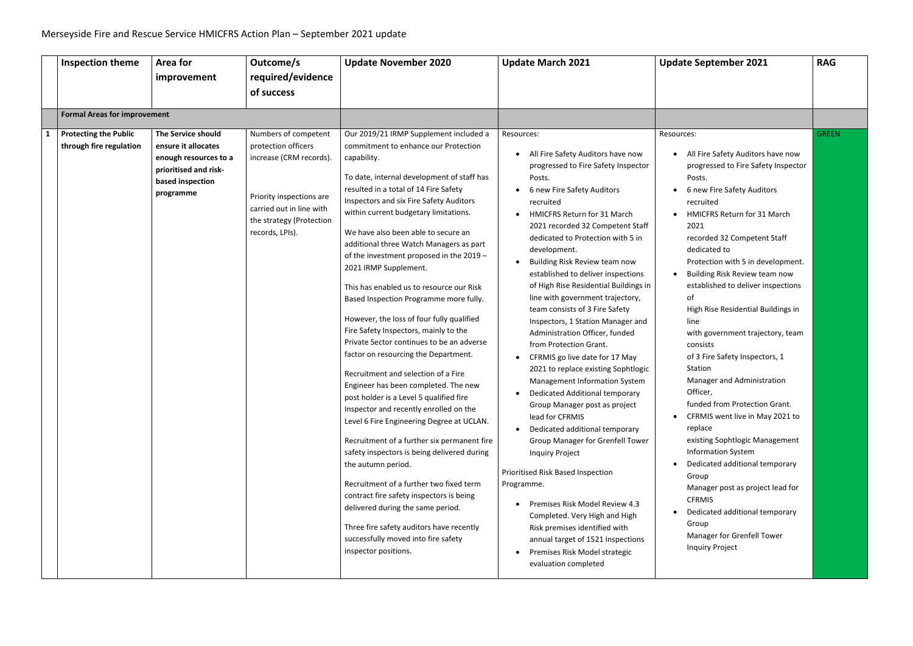| <b>Inspection theme</b>                                 | Area for<br>improvement                                                                                                      | Outcome/s<br>required/evidence<br>of success                                                                                                                                  | <b>Update November 2020</b>                                                                                                                                                                                                                                                                                                                                                                                                                                                                                                                                                                                                                                                                                                                                                                                                                                                                                                                                                                                                                                                                                                                                                                                                                                                  | <b>Update March 2021</b>                                                                                                                                                                                                                                                                                                                                                                                                                                                                                                                                                                                                                                                                                                                                                                                                                                                                                                                                                                                                                                                                                                        | <b>Update September 2021</b>                                                                                                                                                                                                                                                                                                                                                                                                                                                                                                                                                                                                                                                                                                                                                                                                                                                                           | <b>RAG</b>   |
|---------------------------------------------------------|------------------------------------------------------------------------------------------------------------------------------|-------------------------------------------------------------------------------------------------------------------------------------------------------------------------------|------------------------------------------------------------------------------------------------------------------------------------------------------------------------------------------------------------------------------------------------------------------------------------------------------------------------------------------------------------------------------------------------------------------------------------------------------------------------------------------------------------------------------------------------------------------------------------------------------------------------------------------------------------------------------------------------------------------------------------------------------------------------------------------------------------------------------------------------------------------------------------------------------------------------------------------------------------------------------------------------------------------------------------------------------------------------------------------------------------------------------------------------------------------------------------------------------------------------------------------------------------------------------|---------------------------------------------------------------------------------------------------------------------------------------------------------------------------------------------------------------------------------------------------------------------------------------------------------------------------------------------------------------------------------------------------------------------------------------------------------------------------------------------------------------------------------------------------------------------------------------------------------------------------------------------------------------------------------------------------------------------------------------------------------------------------------------------------------------------------------------------------------------------------------------------------------------------------------------------------------------------------------------------------------------------------------------------------------------------------------------------------------------------------------|--------------------------------------------------------------------------------------------------------------------------------------------------------------------------------------------------------------------------------------------------------------------------------------------------------------------------------------------------------------------------------------------------------------------------------------------------------------------------------------------------------------------------------------------------------------------------------------------------------------------------------------------------------------------------------------------------------------------------------------------------------------------------------------------------------------------------------------------------------------------------------------------------------|--------------|
| <b>Formal Areas for improvement</b>                     |                                                                                                                              |                                                                                                                                                                               |                                                                                                                                                                                                                                                                                                                                                                                                                                                                                                                                                                                                                                                                                                                                                                                                                                                                                                                                                                                                                                                                                                                                                                                                                                                                              |                                                                                                                                                                                                                                                                                                                                                                                                                                                                                                                                                                                                                                                                                                                                                                                                                                                                                                                                                                                                                                                                                                                                 |                                                                                                                                                                                                                                                                                                                                                                                                                                                                                                                                                                                                                                                                                                                                                                                                                                                                                                        |              |
| <b>Protecting the Public</b><br>through fire regulation | The Service should<br>ensure it allocates<br>enough resources to a<br>prioritised and risk-<br>based inspection<br>programme | Numbers of competent<br>protection officers<br>increase (CRM records).<br>Priority inspections are<br>carried out in line with<br>the strategy (Protection<br>records, LPIs). | Our 2019/21 IRMP Supplement included a<br>commitment to enhance our Protection<br>capability.<br>To date, internal development of staff has<br>resulted in a total of 14 Fire Safety<br>Inspectors and six Fire Safety Auditors<br>within current budgetary limitations.<br>We have also been able to secure an<br>additional three Watch Managers as part<br>of the investment proposed in the 2019 -<br>2021 IRMP Supplement.<br>This has enabled us to resource our Risk<br>Based Inspection Programme more fully.<br>However, the loss of four fully qualified<br>Fire Safety Inspectors, mainly to the<br>Private Sector continues to be an adverse<br>factor on resourcing the Department.<br>Recruitment and selection of a Fire<br>Engineer has been completed. The new<br>post holder is a Level 5 qualified fire<br>Inspector and recently enrolled on the<br>Level 6 Fire Engineering Degree at UCLAN.<br>Recruitment of a further six permanent fire<br>safety inspectors is being delivered during<br>the autumn period.<br>Recruitment of a further two fixed term<br>contract fire safety inspectors is being<br>delivered during the same period.<br>Three fire safety auditors have recently<br>successfully moved into fire safety<br>inspector positions. | Resources:<br>All Fire Safety Auditors have now<br>progressed to Fire Safety Inspector<br>Posts.<br>6 new Fire Safety Auditors<br>recruited<br><b>HMICFRS Return for 31 March</b><br>2021 recorded 32 Competent Staff<br>dedicated to Protection with 5 in<br>development.<br>Building Risk Review team now<br>established to deliver inspections<br>of High Rise Residential Buildings in  <br>line with government trajectory,<br>team consists of 3 Fire Safety<br>Inspectors, 1 Station Manager and<br>Administration Officer, funded<br>from Protection Grant.<br>CFRMIS go live date for 17 May<br>2021 to replace existing Sophtlogic<br>Management Information System<br>Dedicated Additional temporary<br>Group Manager post as project<br>lead for CFRMIS<br>Dedicated additional temporary<br><b>Group Manager for Grenfell Tower</b><br><b>Inquiry Project</b><br>Prioritised Risk Based Inspection<br>Programme.<br>Premises Risk Model Review 4.3<br>Completed. Very High and High<br>Risk premises identified with<br>annual target of 1521 Inspections<br>Premises Risk Model strategic<br>evaluation completed | Resources:<br>All Fire Safety Auditors have now<br>$\bullet$<br>progressed to Fire Safety Inspector<br>Posts.<br>6 new Fire Safety Auditors<br>recruited<br>HMICFRS Return for 31 March<br>2021<br>recorded 32 Competent Staff<br>dedicated to<br>Protection with 5 in development.<br>Building Risk Review team now<br>established to deliver inspections<br>of<br>High Rise Residential Buildings in<br>line<br>with government trajectory, team<br>consists<br>of 3 Fire Safety Inspectors, 1<br>Station<br>Manager and Administration<br>Officer,<br>funded from Protection Grant.<br>CFRMIS went live in May 2021 to<br>replace<br>existing Sophtlogic Management<br><b>Information System</b><br>Dedicated additional temporary<br>Group<br>Manager post as project lead for<br><b>CFRMIS</b><br>Dedicated additional temporary<br>Group<br>Manager for Grenfell Tower<br><b>Inquiry Project</b> | <b>GREEN</b> |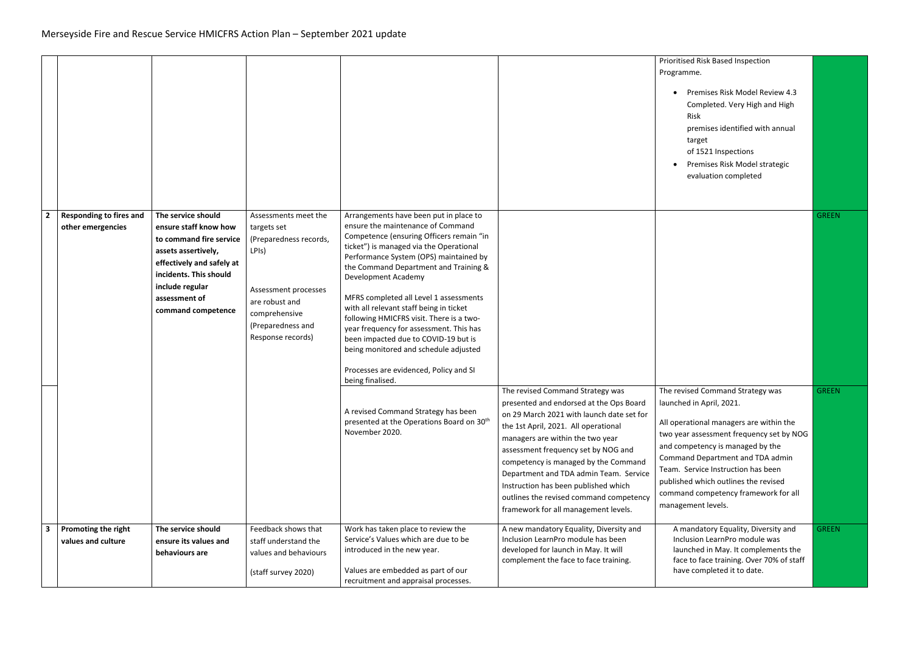|                         |                                                     |                                                                                                                                                                                                                |                                                                                                                                                                             |                                                                                                                                                                                                                                                                                                                                                                                                                                                                                                                                                                                                         |                                                                                                                                                                                                                                                                                                                                                                                                                                                          | Prioritised Risk Based Inspection<br>Programme.<br>Premises Risk Model Review 4.3<br>Completed. Very High and High<br>Risk<br>premises identified with annual<br>target<br>of 1521 Inspections<br>Premises Risk Model strategic<br>evaluation completed                                                                                                                 |              |
|-------------------------|-----------------------------------------------------|----------------------------------------------------------------------------------------------------------------------------------------------------------------------------------------------------------------|-----------------------------------------------------------------------------------------------------------------------------------------------------------------------------|---------------------------------------------------------------------------------------------------------------------------------------------------------------------------------------------------------------------------------------------------------------------------------------------------------------------------------------------------------------------------------------------------------------------------------------------------------------------------------------------------------------------------------------------------------------------------------------------------------|----------------------------------------------------------------------------------------------------------------------------------------------------------------------------------------------------------------------------------------------------------------------------------------------------------------------------------------------------------------------------------------------------------------------------------------------------------|-------------------------------------------------------------------------------------------------------------------------------------------------------------------------------------------------------------------------------------------------------------------------------------------------------------------------------------------------------------------------|--------------|
| $\overline{\mathbf{2}}$ | <b>Responding to fires and</b><br>other emergencies | The service should<br>ensure staff know how<br>to command fire service<br>assets assertively,<br>effectively and safely at<br>incidents. This should<br>include regular<br>assessment of<br>command competence | Assessments meet the<br>targets set<br>(Preparedness records,<br>LPIs)<br>Assessment processes<br>are robust and<br>comprehensive<br>(Preparedness and<br>Response records) | Arrangements have been put in place to<br>ensure the maintenance of Command<br>Competence (ensuring Officers remain "in<br>ticket") is managed via the Operational<br>Performance System (OPS) maintained by<br>the Command Department and Training &<br>Development Academy<br>MFRS completed all Level 1 assessments<br>with all relevant staff being in ticket<br>following HMICFRS visit. There is a two-<br>year frequency for assessment. This has<br>been impacted due to COVID-19 but is<br>being monitored and schedule adjusted<br>Processes are evidenced, Policy and SI<br>being finalised. |                                                                                                                                                                                                                                                                                                                                                                                                                                                          |                                                                                                                                                                                                                                                                                                                                                                         | <b>GREEN</b> |
|                         |                                                     |                                                                                                                                                                                                                |                                                                                                                                                                             | A revised Command Strategy has been<br>presented at the Operations Board on 30 <sup>th</sup><br>November 2020.                                                                                                                                                                                                                                                                                                                                                                                                                                                                                          | The revised Command Strategy was<br>presented and endorsed at the Ops Board<br>on 29 March 2021 with launch date set for<br>the 1st April, 2021. All operational<br>managers are within the two year<br>assessment frequency set by NOG and<br>competency is managed by the Command<br>Department and TDA admin Team. Service<br>Instruction has been published which<br>outlines the revised command competency<br>framework for all management levels. | The revised Command Strategy was<br>launched in April, 2021.<br>All operational managers are within the<br>two year assessment frequency set by NOG<br>and competency is managed by the<br>Command Department and TDA admin<br>Team. Service Instruction has been<br>published which outlines the revised<br>command competency framework for all<br>management levels. | <b>GREEN</b> |
| $\overline{\mathbf{3}}$ | Promoting the right<br>values and culture           | The service should<br>ensure its values and<br>behaviours are                                                                                                                                                  | Feedback shows that<br>staff understand the<br>values and behaviours<br>(staff survey 2020)                                                                                 | Work has taken place to review the<br>Service's Values which are due to be<br>introduced in the new year.<br>Values are embedded as part of our<br>recruitment and appraisal processes.                                                                                                                                                                                                                                                                                                                                                                                                                 | A new mandatory Equality, Diversity and<br>Inclusion LearnPro module has been<br>developed for launch in May. It will<br>complement the face to face training.                                                                                                                                                                                                                                                                                           | A mandatory Equality, Diversity and<br>Inclusion LearnPro module was<br>launched in May. It complements the<br>face to face training. Over 70% of staff<br>have completed it to date.                                                                                                                                                                                   | <b>GREEN</b> |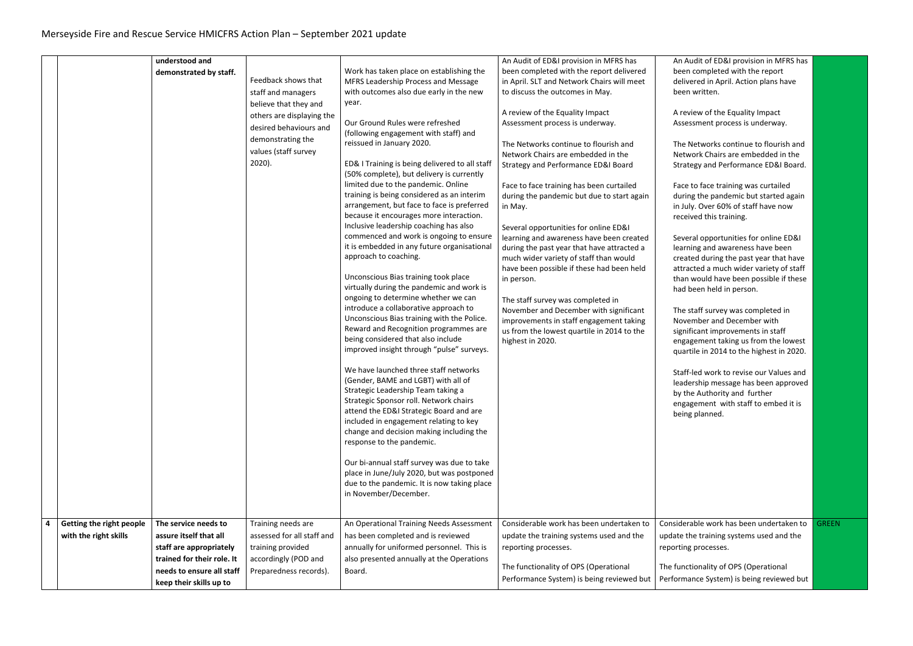|                          | understood and             |                            |                                                | An Audit of ED&I provision in MFRS has                                      | An Audit of ED&I provision in MFRS has    |              |
|--------------------------|----------------------------|----------------------------|------------------------------------------------|-----------------------------------------------------------------------------|-------------------------------------------|--------------|
|                          |                            |                            | Work has taken place on establishing the       | been completed with the report delivered                                    | been completed with the report            |              |
|                          | demonstrated by staff.     | Feedback shows that        | MFRS Leadership Process and Message            | in April. SLT and Network Chairs will meet                                  | delivered in April. Action plans have     |              |
|                          |                            | staff and managers         | with outcomes also due early in the new        | to discuss the outcomes in May.                                             | been written.                             |              |
|                          |                            | believe that they and      | year.                                          |                                                                             |                                           |              |
|                          |                            |                            |                                                | A review of the Equality Impact                                             | A review of the Equality Impact           |              |
|                          |                            | others are displaying the  | Our Ground Rules were refreshed                | Assessment process is underway.                                             | Assessment process is underway.           |              |
|                          |                            | desired behaviours and     | (following engagement with staff) and          |                                                                             |                                           |              |
|                          |                            | demonstrating the          | reissued in January 2020.                      | The Networks continue to flourish and                                       | The Networks continue to flourish and     |              |
|                          |                            | values (staff survey       |                                                | Network Chairs are embedded in the                                          | Network Chairs are embedded in the        |              |
|                          |                            | $2020$ ).                  | ED& I Training is being delivered to all staff | <b>Strategy and Performance ED&amp;I Board</b>                              | Strategy and Performance ED&I Board.      |              |
|                          |                            |                            | (50% complete), but delivery is currently      |                                                                             |                                           |              |
|                          |                            |                            | limited due to the pandemic. Online            | Face to face training has been curtailed                                    | Face to face training was curtailed       |              |
|                          |                            |                            | training is being considered as an interim     | during the pandemic but due to start again                                  | during the pandemic but started again     |              |
|                          |                            |                            | arrangement, but face to face is preferred     | in May.                                                                     | in July. Over 60% of staff have now       |              |
|                          |                            |                            | because it encourages more interaction.        |                                                                             | received this training.                   |              |
|                          |                            |                            | Inclusive leadership coaching has also         | Several opportunities for online ED&I                                       |                                           |              |
|                          |                            |                            | commenced and work is ongoing to ensure        | learning and awareness have been created                                    | Several opportunities for online ED&I     |              |
|                          |                            |                            | it is embedded in any future organisational    | during the past year that have attracted a                                  | learning and awareness have been          |              |
|                          |                            |                            | approach to coaching.                          | much wider variety of staff than would                                      | created during the past year that have    |              |
|                          |                            |                            | Unconscious Bias training took place           | have been possible if these had been held                                   | attracted a much wider variety of staff   |              |
|                          |                            |                            | virtually during the pandemic and work is      | in person.                                                                  | than would have been possible if these    |              |
|                          |                            |                            | ongoing to determine whether we can            |                                                                             | had been held in person.                  |              |
|                          |                            |                            | introduce a collaborative approach to          | The staff survey was completed in<br>November and December with significant | The staff survey was completed in         |              |
|                          |                            |                            | Unconscious Bias training with the Police.     | improvements in staff engagement taking                                     | November and December with                |              |
|                          |                            |                            | Reward and Recognition programmes are          | us from the lowest quartile in 2014 to the                                  | significant improvements in staff         |              |
|                          |                            |                            | being considered that also include             | highest in 2020.                                                            | engagement taking us from the lowest      |              |
|                          |                            |                            | improved insight through "pulse" surveys.      |                                                                             | quartile in 2014 to the highest in 2020.  |              |
|                          |                            |                            |                                                |                                                                             |                                           |              |
|                          |                            |                            | We have launched three staff networks          |                                                                             | Staff-led work to revise our Values and   |              |
|                          |                            |                            | (Gender, BAME and LGBT) with all of            |                                                                             | leadership message has been approved      |              |
|                          |                            |                            | Strategic Leadership Team taking a             |                                                                             | by the Authority and further              |              |
|                          |                            |                            | Strategic Sponsor roll. Network chairs         |                                                                             | engagement with staff to embed it is      |              |
|                          |                            |                            | attend the ED&I Strategic Board and are        |                                                                             | being planned.                            |              |
|                          |                            |                            | included in engagement relating to key         |                                                                             |                                           |              |
|                          |                            |                            | change and decision making including the       |                                                                             |                                           |              |
|                          |                            |                            | response to the pandemic.                      |                                                                             |                                           |              |
|                          |                            |                            | Our bi-annual staff survey was due to take     |                                                                             |                                           |              |
|                          |                            |                            | place in June/July 2020, but was postponed     |                                                                             |                                           |              |
|                          |                            |                            | due to the pandemic. It is now taking place    |                                                                             |                                           |              |
|                          |                            |                            | in November/December.                          |                                                                             |                                           |              |
|                          |                            |                            |                                                |                                                                             |                                           |              |
|                          |                            |                            |                                                |                                                                             |                                           |              |
| Getting the right people | The service needs to       | Training needs are         | An Operational Training Needs Assessment       | Considerable work has been undertaken to                                    | Considerable work has been undertaken to  | <b>GREEN</b> |
| with the right skills    | assure itself that all     | assessed for all staff and | has been completed and is reviewed             | update the training systems used and the                                    | update the training systems used and the  |              |
|                          | staff are appropriately    | training provided          | annually for uniformed personnel. This is      | reporting processes.                                                        | reporting processes.                      |              |
|                          | trained for their role. It | accordingly (POD and       | also presented annually at the Operations      |                                                                             |                                           |              |
|                          | needs to ensure all staff  | Preparedness records).     | Board.                                         | The functionality of OPS (Operational                                       | The functionality of OPS (Operational     |              |
|                          | keep their skills up to    |                            |                                                | Performance System) is being reviewed but                                   | Performance System) is being reviewed but |              |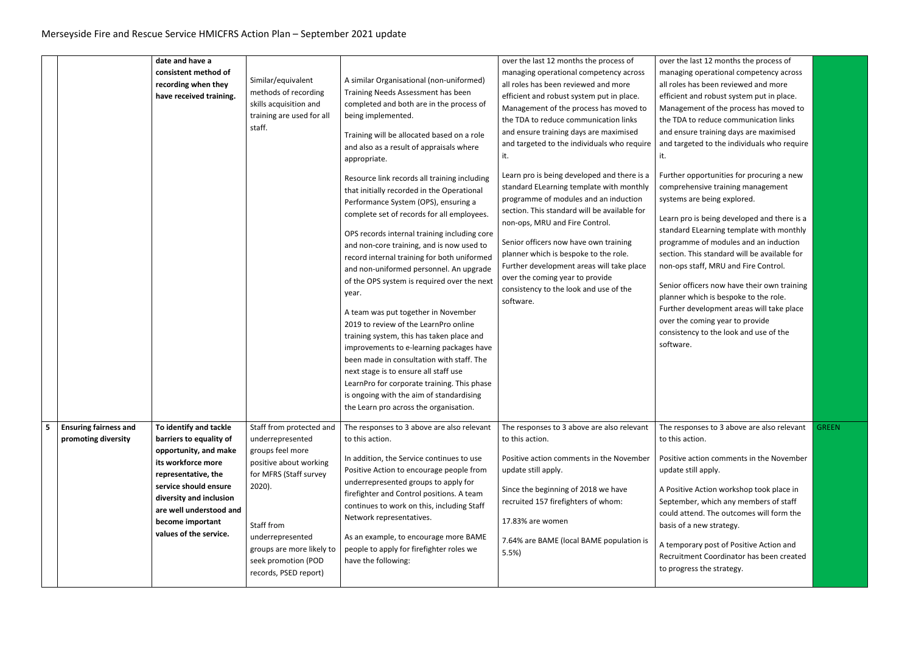|                |                                                     | date and have a                                                                                                                                                                                                                                      |                                                                                                                                                                                                                                                  |                                                                                                                                                                                                                                                                                                                                                                                                                                                                                                                                                                                                                                                                                                                                                                                                                                                                                                                                                                                                                                                                                                   | over the last 12 months the process of                                                                                                                                                                                                                                                                                                                                                                                                                                                                                                                                                                                                                                                                                                                        | over the last 12 months the process of                                                                                                                                                                                                                                                                                                                                                                                                                                                                                                                                                                                                                                                                                                                                                                                                                                                     |              |
|----------------|-----------------------------------------------------|------------------------------------------------------------------------------------------------------------------------------------------------------------------------------------------------------------------------------------------------------|--------------------------------------------------------------------------------------------------------------------------------------------------------------------------------------------------------------------------------------------------|---------------------------------------------------------------------------------------------------------------------------------------------------------------------------------------------------------------------------------------------------------------------------------------------------------------------------------------------------------------------------------------------------------------------------------------------------------------------------------------------------------------------------------------------------------------------------------------------------------------------------------------------------------------------------------------------------------------------------------------------------------------------------------------------------------------------------------------------------------------------------------------------------------------------------------------------------------------------------------------------------------------------------------------------------------------------------------------------------|---------------------------------------------------------------------------------------------------------------------------------------------------------------------------------------------------------------------------------------------------------------------------------------------------------------------------------------------------------------------------------------------------------------------------------------------------------------------------------------------------------------------------------------------------------------------------------------------------------------------------------------------------------------------------------------------------------------------------------------------------------------|--------------------------------------------------------------------------------------------------------------------------------------------------------------------------------------------------------------------------------------------------------------------------------------------------------------------------------------------------------------------------------------------------------------------------------------------------------------------------------------------------------------------------------------------------------------------------------------------------------------------------------------------------------------------------------------------------------------------------------------------------------------------------------------------------------------------------------------------------------------------------------------------|--------------|
|                |                                                     | consistent method of<br>recording when they<br>have received training.                                                                                                                                                                               | Similar/equivalent<br>methods of recording<br>skills acquisition and<br>training are used for all<br>staff.                                                                                                                                      | A similar Organisational (non-uniformed)<br>Training Needs Assessment has been<br>completed and both are in the process of<br>being implemented.<br>Training will be allocated based on a role<br>and also as a result of appraisals where<br>appropriate.<br>Resource link records all training including<br>that initially recorded in the Operational<br>Performance System (OPS), ensuring a<br>complete set of records for all employees.<br>OPS records internal training including core<br>and non-core training, and is now used to<br>record internal training for both uniformed<br>and non-uniformed personnel. An upgrade<br>of the OPS system is required over the next<br>year.<br>A team was put together in November<br>2019 to review of the LearnPro online<br>training system, this has taken place and<br>improvements to e-learning packages have<br>been made in consultation with staff. The<br>next stage is to ensure all staff use<br>LearnPro for corporate training. This phase<br>is ongoing with the aim of standardising<br>the Learn pro across the organisation. | managing operational competency across<br>all roles has been reviewed and more<br>efficient and robust system put in place.<br>Management of the process has moved to<br>the TDA to reduce communication links<br>and ensure training days are maximised<br>and targeted to the individuals who require<br>it.<br>Learn pro is being developed and there is a<br>standard ELearning template with monthly<br>programme of modules and an induction<br>section. This standard will be available for<br>non-ops, MRU and Fire Control.<br>Senior officers now have own training<br>planner which is bespoke to the role.<br>Further development areas will take place<br>over the coming year to provide<br>consistency to the look and use of the<br>software. | managing operational competency across<br>all roles has been reviewed and more<br>efficient and robust system put in place.<br>Management of the process has moved to<br>the TDA to reduce communication links<br>and ensure training days are maximised<br>and targeted to the individuals who require<br>it.<br>Further opportunities for procuring a new<br>comprehensive training management<br>systems are being explored.<br>Learn pro is being developed and there is a<br>standard ELearning template with monthly<br>programme of modules and an induction<br>section. This standard will be available for<br>non-ops staff, MRU and Fire Control.<br>Senior officers now have their own training<br>planner which is bespoke to the role.<br>Further development areas will take place<br>over the coming year to provide<br>consistency to the look and use of the<br>software. |              |
| $5\phantom{1}$ | <b>Ensuring fairness and</b><br>promoting diversity | To identify and tackle<br>barriers to equality of<br>opportunity, and make<br>its workforce more<br>representative, the<br>service should ensure<br>diversity and inclusion<br>are well understood and<br>become important<br>values of the service. | Staff from protected and<br>underrepresented<br>groups feel more<br>positive about working<br>for MFRS (Staff survey<br>$2020$ ).<br>Staff from<br>underrepresented<br>groups are more likely to<br>seek promotion (POD<br>records, PSED report) | The responses to 3 above are also relevant<br>to this action.<br>In addition, the Service continues to use<br>Positive Action to encourage people from<br>underrepresented groups to apply for<br>firefighter and Control positions. A team<br>continues to work on this, including Staff<br>Network representatives.<br>As an example, to encourage more BAME<br>people to apply for firefighter roles we<br>have the following:                                                                                                                                                                                                                                                                                                                                                                                                                                                                                                                                                                                                                                                                 | The responses to 3 above are also relevant<br>to this action.<br>Positive action comments in the November<br>update still apply.<br>Since the beginning of 2018 we have<br>recruited 157 firefighters of whom:<br>17.83% are women<br>7.64% are BAME (local BAME population is<br>5.5%                                                                                                                                                                                                                                                                                                                                                                                                                                                                        | The responses to 3 above are also relevant<br>to this action.<br>Positive action comments in the November<br>update still apply.<br>A Positive Action workshop took place in<br>September, which any members of staff<br>could attend. The outcomes will form the<br>basis of a new strategy.<br>A temporary post of Positive Action and<br>Recruitment Coordinator has been created<br>to progress the strategy.                                                                                                                                                                                                                                                                                                                                                                                                                                                                          | <b>GREEN</b> |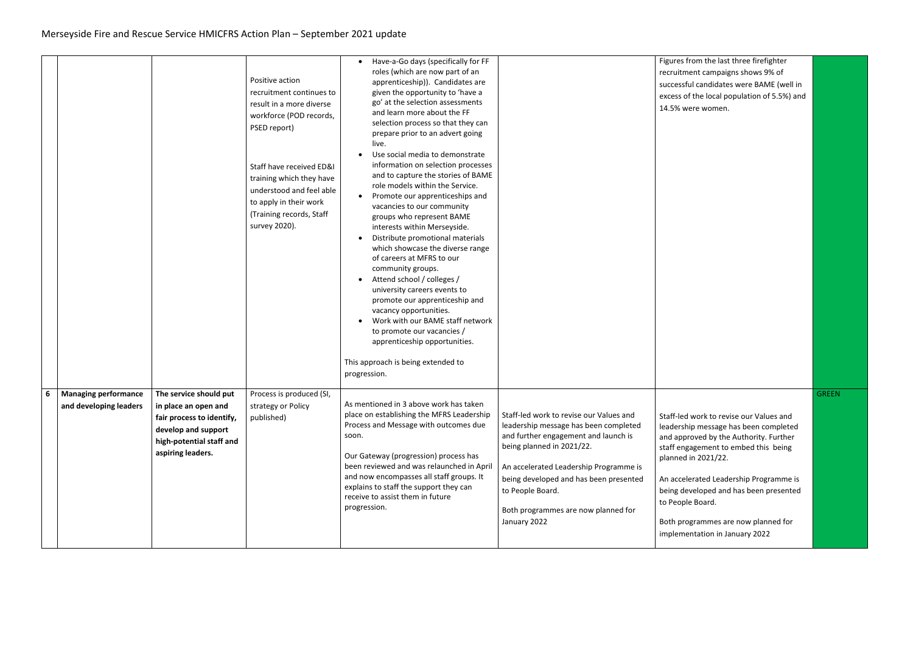|   |                                                       |                                                                                                                                                     | Positive action<br>recruitment continues to<br>result in a more diverse<br>workforce (POD records,<br>PSED report)<br>Staff have received ED&I<br>training which they have<br>understood and feel able<br>to apply in their work<br>(Training records, Staff<br>survey 2020). | Have-a-Go days (specifically for FF<br>roles (which are now part of an<br>apprenticeship)). Candidates are<br>given the opportunity to 'have a<br>go' at the selection assessments<br>and learn more about the FF<br>selection process so that they can<br>prepare prior to an advert going<br>live.<br>Use social media to demonstrate<br>information on selection processes<br>and to capture the stories of BAME<br>role models within the Service.<br>Promote our apprenticeships and<br>$\bullet$<br>vacancies to our community<br>groups who represent BAME<br>interests within Merseyside.<br>Distribute promotional materials<br>which showcase the diverse range<br>of careers at MFRS to our<br>community groups.<br>Attend school / colleges /<br>university careers events to<br>promote our apprenticeship and<br>vacancy opportunities.<br>Work with our BAME staff network<br>to promote our vacancies /<br>apprenticeship opportunities.<br>This approach is being extended to<br>progression. |                                                                                                                                                                                                                                                                                                                      | Figures from the last three firefighter<br>recruitment campaigns shows 9% of<br>successful candidates were BAME (well in<br>excess of the local population of 5.5%) and<br>14.5% were women.                                                                                                                                                                               |              |
|---|-------------------------------------------------------|-----------------------------------------------------------------------------------------------------------------------------------------------------|-------------------------------------------------------------------------------------------------------------------------------------------------------------------------------------------------------------------------------------------------------------------------------|----------------------------------------------------------------------------------------------------------------------------------------------------------------------------------------------------------------------------------------------------------------------------------------------------------------------------------------------------------------------------------------------------------------------------------------------------------------------------------------------------------------------------------------------------------------------------------------------------------------------------------------------------------------------------------------------------------------------------------------------------------------------------------------------------------------------------------------------------------------------------------------------------------------------------------------------------------------------------------------------------------------|----------------------------------------------------------------------------------------------------------------------------------------------------------------------------------------------------------------------------------------------------------------------------------------------------------------------|----------------------------------------------------------------------------------------------------------------------------------------------------------------------------------------------------------------------------------------------------------------------------------------------------------------------------------------------------------------------------|--------------|
| 6 | <b>Managing performance</b><br>and developing leaders | The service should put<br>in place an open and<br>fair process to identify,<br>develop and support<br>high-potential staff and<br>aspiring leaders. | Process is produced (SI,<br>strategy or Policy<br>published)                                                                                                                                                                                                                  | As mentioned in 3 above work has taken<br>place on establishing the MFRS Leadership<br>Process and Message with outcomes due<br>soon.<br>Our Gateway (progression) process has<br>been reviewed and was relaunched in April<br>and now encompasses all staff groups. It<br>explains to staff the support they can<br>receive to assist them in future<br>progression.                                                                                                                                                                                                                                                                                                                                                                                                                                                                                                                                                                                                                                          | Staff-led work to revise our Values and<br>leadership message has been completed<br>and further engagement and launch is<br>being planned in 2021/22.<br>An accelerated Leadership Programme is<br>being developed and has been presented<br>to People Board.<br>Both programmes are now planned for<br>January 2022 | Staff-led work to revise our Values and<br>leadership message has been completed<br>and approved by the Authority. Further<br>staff engagement to embed this being<br>planned in 2021/22.<br>An accelerated Leadership Programme is<br>being developed and has been presented<br>to People Board.<br>Both programmes are now planned for<br>implementation in January 2022 | <b>GREEN</b> |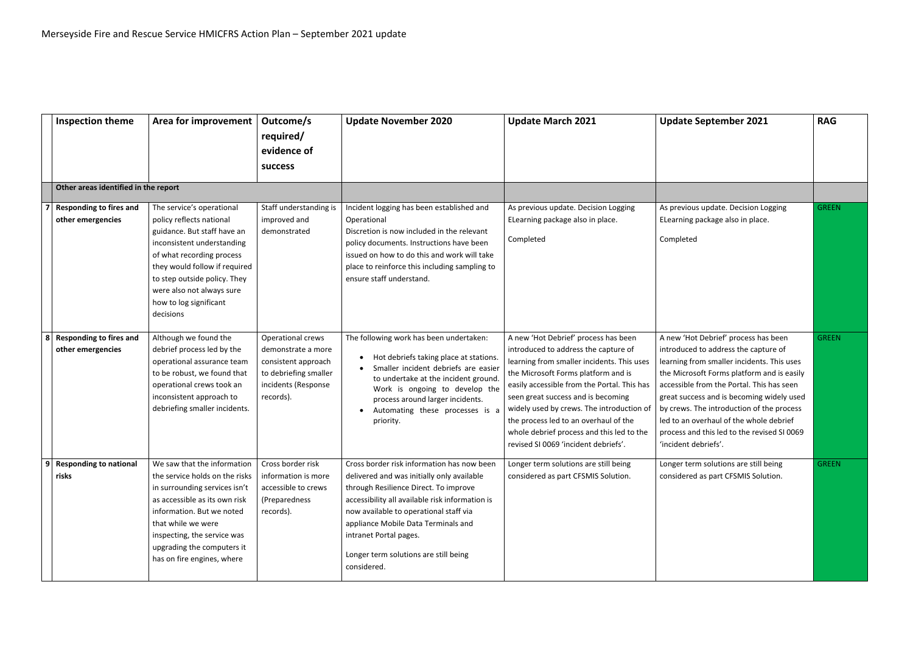|                | <b>Inspection theme</b>                             | Area for improvement                                                                                                                                                                                                                                                                 | Outcome/s<br>required/<br>evidence of<br><b>success</b>                                                                     | <b>Update November 2020</b>                                                                                                                                                                                                                                                                                                                             | <b>Update March 2021</b>                                                                                                                                                                                                                                                                                                                                                                                                          | <b>Update September 2021</b>                                                                                                                                                                                                                                                                                                                                                                                                      | <b>RAG</b>   |
|----------------|-----------------------------------------------------|--------------------------------------------------------------------------------------------------------------------------------------------------------------------------------------------------------------------------------------------------------------------------------------|-----------------------------------------------------------------------------------------------------------------------------|---------------------------------------------------------------------------------------------------------------------------------------------------------------------------------------------------------------------------------------------------------------------------------------------------------------------------------------------------------|-----------------------------------------------------------------------------------------------------------------------------------------------------------------------------------------------------------------------------------------------------------------------------------------------------------------------------------------------------------------------------------------------------------------------------------|-----------------------------------------------------------------------------------------------------------------------------------------------------------------------------------------------------------------------------------------------------------------------------------------------------------------------------------------------------------------------------------------------------------------------------------|--------------|
|                | Other areas identified in the report                |                                                                                                                                                                                                                                                                                      |                                                                                                                             |                                                                                                                                                                                                                                                                                                                                                         |                                                                                                                                                                                                                                                                                                                                                                                                                                   |                                                                                                                                                                                                                                                                                                                                                                                                                                   |              |
|                | <b>Responding to fires and</b><br>other emergencies | The service's operational<br>policy reflects national<br>guidance. But staff have an<br>inconsistent understanding<br>of what recording process<br>they would follow if required<br>to step outside policy. They<br>were also not always sure<br>how to log significant<br>decisions | Staff understanding is<br>improved and<br>demonstrated                                                                      | Incident logging has been established and<br>Operational<br>Discretion is now included in the relevant<br>policy documents. Instructions have been<br>issued on how to do this and work will take<br>place to reinforce this including sampling to<br>ensure staff understand.                                                                          | As previous update. Decision Logging<br>ELearning package also in place.<br>Completed                                                                                                                                                                                                                                                                                                                                             | As previous update. Decision Logging<br>ELearning package also in place.<br>Completed                                                                                                                                                                                                                                                                                                                                             | <b>GREEN</b> |
| 8 <sup>1</sup> | <b>Responding to fires and</b><br>other emergencies | Although we found the<br>debrief process led by the<br>operational assurance team<br>to be robust, we found that<br>operational crews took an<br>inconsistent approach to<br>debriefing smaller incidents.                                                                           | Operational crews<br>demonstrate a more<br>consistent approach<br>to debriefing smaller<br>incidents (Response<br>records). | The following work has been undertaken:<br>Hot debriefs taking place at stations.<br>Smaller incident debriefs are easier<br>to undertake at the incident ground<br>Work is ongoing to develop the<br>process around larger incidents.<br>Automating these processes is a<br>priority.                                                                  | A new 'Hot Debrief' process has been<br>introduced to address the capture of<br>learning from smaller incidents. This uses<br>the Microsoft Forms platform and is<br>easily accessible from the Portal. This has<br>seen great success and is becoming<br>widely used by crews. The introduction of<br>the process led to an overhaul of the<br>whole debrief process and this led to the<br>revised SI 0069 'incident debriefs'. | A new 'Hot Debrief' process has been<br>introduced to address the capture of<br>learning from smaller incidents. This uses<br>the Microsoft Forms platform and is easily<br>accessible from the Portal. This has seen<br>great success and is becoming widely used<br>by crews. The introduction of the process<br>led to an overhaul of the whole debrief<br>process and this led to the revised SI 0069<br>'incident debriefs'. | <b>GREEN</b> |
| 9              | <b>Responding to national</b><br>risks              | We saw that the information<br>the service holds on the risks<br>in surrounding services isn't<br>as accessible as its own risk<br>information. But we noted<br>that while we were<br>inspecting, the service was<br>upgrading the computers it<br>has on fire engines, where        | Cross border risk<br>information is more<br>accessible to crews<br>(Preparedness<br>records).                               | Cross border risk information has now been<br>delivered and was initially only available<br>through Resilience Direct. To improve<br>accessibility all available risk information is<br>now available to operational staff via<br>appliance Mobile Data Terminals and<br>intranet Portal pages.<br>Longer term solutions are still being<br>considered. | Longer term solutions are still being<br>considered as part CFSMIS Solution.                                                                                                                                                                                                                                                                                                                                                      | Longer term solutions are still being<br>considered as part CFSMIS Solution.                                                                                                                                                                                                                                                                                                                                                      | <b>GREEN</b> |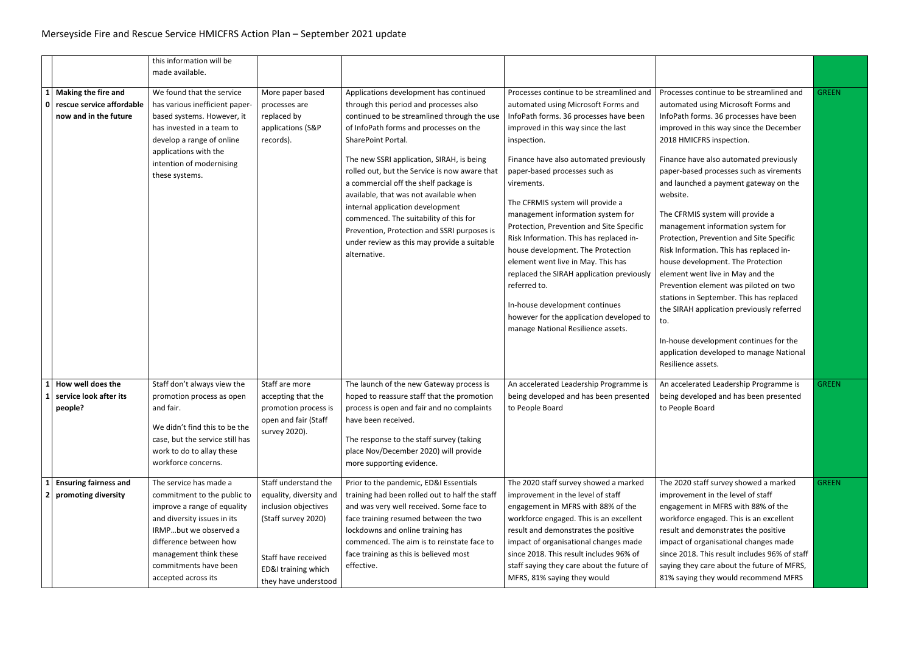|              |                                                                             | this information will be<br>made available.                                                                                                                                                                                                      |                                                                                                                                                                      |                                                                                                                                                                                                                                                                                                                                                                                                                                                                                                                                                                              |                                                                                                                                                                                                                                                                                                                                                                                                                                                                                                                                                                                                                                                                                                      |                                                                                                                                                                                                                                                                                                                                                                                                                                                                                                                                                                                                                                                                                                                                                                                                                                          |              |
|--------------|-----------------------------------------------------------------------------|--------------------------------------------------------------------------------------------------------------------------------------------------------------------------------------------------------------------------------------------------|----------------------------------------------------------------------------------------------------------------------------------------------------------------------|------------------------------------------------------------------------------------------------------------------------------------------------------------------------------------------------------------------------------------------------------------------------------------------------------------------------------------------------------------------------------------------------------------------------------------------------------------------------------------------------------------------------------------------------------------------------------|------------------------------------------------------------------------------------------------------------------------------------------------------------------------------------------------------------------------------------------------------------------------------------------------------------------------------------------------------------------------------------------------------------------------------------------------------------------------------------------------------------------------------------------------------------------------------------------------------------------------------------------------------------------------------------------------------|------------------------------------------------------------------------------------------------------------------------------------------------------------------------------------------------------------------------------------------------------------------------------------------------------------------------------------------------------------------------------------------------------------------------------------------------------------------------------------------------------------------------------------------------------------------------------------------------------------------------------------------------------------------------------------------------------------------------------------------------------------------------------------------------------------------------------------------|--------------|
| $\mathbf{1}$ | Making the fire and<br>0 rescue service affordable<br>now and in the future | We found that the service<br>has various inefficient paper-<br>based systems. However, it<br>has invested in a team to<br>develop a range of online<br>applications with the<br>intention of modernising<br>these systems.                       | More paper based<br>processes are<br>replaced by<br>applications (S&P<br>records).                                                                                   | Applications development has continued<br>through this period and processes also<br>continued to be streamlined through the use<br>of InfoPath forms and processes on the<br>SharePoint Portal.<br>The new SSRI application, SIRAH, is being<br>rolled out, but the Service is now aware that<br>a commercial off the shelf package is<br>available, that was not available when<br>internal application development<br>commenced. The suitability of this for<br>Prevention, Protection and SSRI purposes is<br>under review as this may provide a suitable<br>alternative. | Processes continue to be streamlined and<br>automated using Microsoft Forms and<br>InfoPath forms. 36 processes have been<br>improved in this way since the last<br>inspection.<br>Finance have also automated previously<br>paper-based processes such as<br>virements.<br>The CFRMIS system will provide a<br>management information system for<br>Protection, Prevention and Site Specific<br>Risk Information. This has replaced in-<br>house development. The Protection<br>element went live in May. This has<br>replaced the SIRAH application previously<br>referred to.<br>In-house development continues<br>however for the application developed to<br>manage National Resilience assets. | Processes continue to be streamlined and<br>automated using Microsoft Forms and<br>InfoPath forms. 36 processes have been<br>improved in this way since the December<br>2018 HMICFRS inspection.<br>Finance have also automated previously<br>paper-based processes such as virements<br>and launched a payment gateway on the<br>website.<br>The CFRMIS system will provide a<br>management information system for<br>Protection, Prevention and Site Specific<br>Risk Information. This has replaced in-<br>house development. The Protection<br>element went live in May and the<br>Prevention element was piloted on two<br>stations in September. This has replaced<br>the SIRAH application previously referred<br>to.<br>In-house development continues for the<br>application developed to manage National<br>Resilience assets. | <b>GREEN</b> |
| $\mathbf{1}$ | How well does the<br>service look after its<br>people?                      | Staff don't always view the<br>promotion process as open<br>and fair.<br>We didn't find this to be the<br>case, but the service still has<br>work to do to allay these<br>workforce concerns.                                                    | Staff are more<br>accepting that the<br>promotion process is<br>open and fair (Staff<br>survey 2020).                                                                | The launch of the new Gateway process is<br>hoped to reassure staff that the promotion<br>process is open and fair and no complaints<br>have been received.<br>The response to the staff survey (taking<br>place Nov/December 2020) will provide<br>more supporting evidence.                                                                                                                                                                                                                                                                                                | An accelerated Leadership Programme is<br>being developed and has been presented<br>to People Board                                                                                                                                                                                                                                                                                                                                                                                                                                                                                                                                                                                                  | An accelerated Leadership Programme is<br>being developed and has been presented<br>to People Board                                                                                                                                                                                                                                                                                                                                                                                                                                                                                                                                                                                                                                                                                                                                      | <b>GREEN</b> |
|              | <b>Ensuring fairness and</b><br>promoting diversity                         | The service has made a<br>commitment to the public to<br>improve a range of equality<br>and diversity issues in its<br>IRMPbut we observed a<br>difference between how<br>management think these<br>commitments have been<br>accepted across its | Staff understand the<br>equality, diversity and<br>inclusion objectives<br>(Staff survey 2020)<br>Staff have received<br>ED&I training which<br>they have understood | Prior to the pandemic, ED&I Essentials<br>training had been rolled out to half the staff<br>and was very well received. Some face to<br>face training resumed between the two<br>lockdowns and online training has<br>commenced. The aim is to reinstate face to<br>face training as this is believed most<br>effective.                                                                                                                                                                                                                                                     | The 2020 staff survey showed a marked<br>improvement in the level of staff<br>engagement in MFRS with 88% of the<br>workforce engaged. This is an excellent<br>result and demonstrates the positive<br>impact of organisational changes made<br>since 2018. This result includes 96% of<br>staff saying they care about the future of<br>MFRS, 81% saying they would                                                                                                                                                                                                                                                                                                                                 | The 2020 staff survey showed a marked<br>improvement in the level of staff<br>engagement in MFRS with 88% of the<br>workforce engaged. This is an excellent<br>result and demonstrates the positive<br>impact of organisational changes made<br>since 2018. This result includes 96% of staff<br>saying they care about the future of MFRS,<br>81% saying they would recommend MFRS                                                                                                                                                                                                                                                                                                                                                                                                                                                      | <b>GREEN</b> |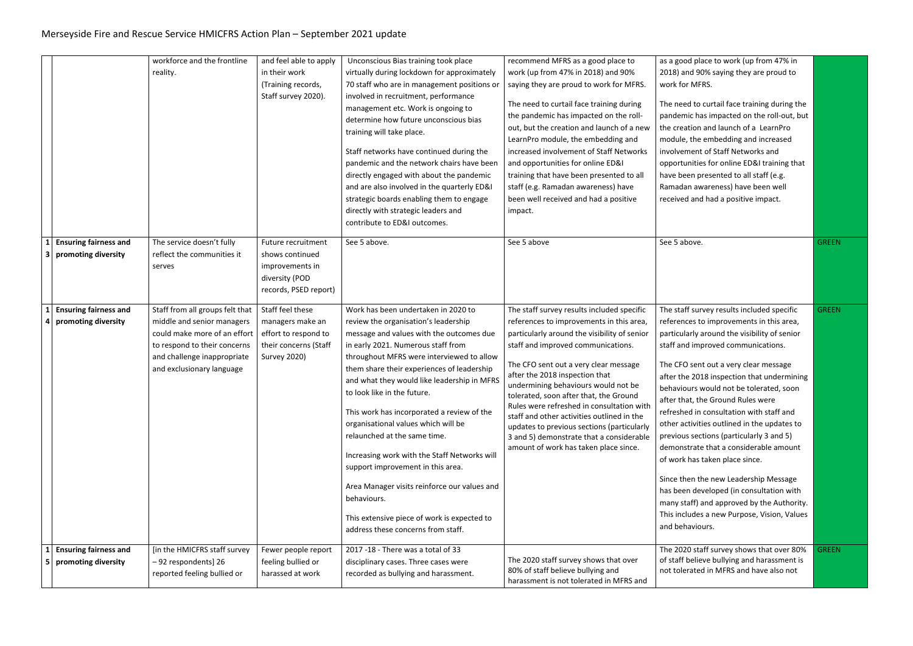|                     |                                                     | workforce and the frontline<br>reality.                                                                                                                                                   | and feel able to apply<br>in their work<br>(Training records,<br>Staff survey 2020).                         | Unconscious Bias training took place<br>virtually during lockdown for approximately<br>70 staff who are in management positions or<br>involved in recruitment, performance<br>management etc. Work is ongoing to<br>determine how future unconscious bias<br>training will take place.<br>Staff networks have continued during the<br>pandemic and the network chairs have been                                                                                                                                                                                                                                                                                                                      | recommend MFRS as a good place to<br>work (up from 47% in 2018) and 90%<br>saying they are proud to work for MFRS.<br>The need to curtail face training during<br>the pandemic has impacted on the roll-<br>out, but the creation and launch of a new<br>LearnPro module, the embedding and<br>increased involvement of Staff Networks<br>and opportunities for online ED&I                                                                                                                                                                                            | as a good place to work (up from 47% in<br>2018) and 90% saying they are proud to<br>work for MFRS.<br>The need to curtail face training during the<br>pandemic has impacted on the roll-out, but<br>the creation and launch of a LearnPro<br>module, the embedding and increased<br>involvement of Staff Networks and<br>opportunities for online ED&I training that                                                                                                                                                                                                                                                                                                                                                                                                       |              |
|---------------------|-----------------------------------------------------|-------------------------------------------------------------------------------------------------------------------------------------------------------------------------------------------|--------------------------------------------------------------------------------------------------------------|------------------------------------------------------------------------------------------------------------------------------------------------------------------------------------------------------------------------------------------------------------------------------------------------------------------------------------------------------------------------------------------------------------------------------------------------------------------------------------------------------------------------------------------------------------------------------------------------------------------------------------------------------------------------------------------------------|------------------------------------------------------------------------------------------------------------------------------------------------------------------------------------------------------------------------------------------------------------------------------------------------------------------------------------------------------------------------------------------------------------------------------------------------------------------------------------------------------------------------------------------------------------------------|-----------------------------------------------------------------------------------------------------------------------------------------------------------------------------------------------------------------------------------------------------------------------------------------------------------------------------------------------------------------------------------------------------------------------------------------------------------------------------------------------------------------------------------------------------------------------------------------------------------------------------------------------------------------------------------------------------------------------------------------------------------------------------|--------------|
|                     |                                                     |                                                                                                                                                                                           |                                                                                                              | directly engaged with about the pandemic<br>and are also involved in the quarterly ED&I<br>strategic boards enabling them to engage<br>directly with strategic leaders and<br>contribute to ED&I outcomes.                                                                                                                                                                                                                                                                                                                                                                                                                                                                                           | training that have been presented to all<br>staff (e.g. Ramadan awareness) have<br>been well received and had a positive<br>impact.                                                                                                                                                                                                                                                                                                                                                                                                                                    | have been presented to all staff (e.g.<br>Ramadan awareness) have been well<br>received and had a positive impact.                                                                                                                                                                                                                                                                                                                                                                                                                                                                                                                                                                                                                                                          |              |
| $1\vert$<br>3       | <b>Ensuring fairness and</b><br>promoting diversity | The service doesn't fully<br>reflect the communities it<br>serves                                                                                                                         | Future recruitment<br>shows continued<br>improvements in<br>diversity (POD<br>records, PSED report)          | See 5 above.                                                                                                                                                                                                                                                                                                                                                                                                                                                                                                                                                                                                                                                                                         | See 5 above                                                                                                                                                                                                                                                                                                                                                                                                                                                                                                                                                            | See 5 above.                                                                                                                                                                                                                                                                                                                                                                                                                                                                                                                                                                                                                                                                                                                                                                | <b>GREEN</b> |
| 4                   | <b>Ensuring fairness and</b><br>promoting diversity | Staff from all groups felt that<br>middle and senior managers<br>could make more of an effort<br>to respond to their concerns<br>and challenge inappropriate<br>and exclusionary language | Staff feel these<br>managers make an<br>effort to respond to<br>their concerns (Staff<br><b>Survey 2020)</b> | Work has been undertaken in 2020 to<br>review the organisation's leadership<br>message and values with the outcomes due<br>in early 2021. Numerous staff from<br>throughout MFRS were interviewed to allow<br>them share their experiences of leadership<br>and what they would like leadership in MFRS<br>to look like in the future.<br>This work has incorporated a review of the<br>organisational values which will be<br>relaunched at the same time.<br>Increasing work with the Staff Networks will<br>support improvement in this area.<br>Area Manager visits reinforce our values and<br>behaviours.<br>This extensive piece of work is expected to<br>address these concerns from staff. | The staff survey results included specific<br>references to improvements in this area,<br>particularly around the visibility of senior<br>staff and improved communications.<br>The CFO sent out a very clear message<br>after the 2018 inspection that<br>undermining behaviours would not be<br>tolerated, soon after that, the Ground<br>Rules were refreshed in consultation with<br>staff and other activities outlined in the<br>updates to previous sections (particularly<br>3 and 5) demonstrate that a considerable<br>amount of work has taken place since. | The staff survey results included specific<br>references to improvements in this area,<br>particularly around the visibility of senior<br>staff and improved communications.<br>The CFO sent out a very clear message<br>after the 2018 inspection that undermining<br>behaviours would not be tolerated, soon<br>after that, the Ground Rules were<br>refreshed in consultation with staff and<br>other activities outlined in the updates to<br>previous sections (particularly 3 and 5)<br>demonstrate that a considerable amount<br>of work has taken place since.<br>Since then the new Leadership Message<br>has been developed (in consultation with<br>many staff) and approved by the Authority.<br>This includes a new Purpose, Vision, Values<br>and behaviours. | <b>GREEN</b> |
| 1<br>5 <sup>1</sup> | <b>Ensuring fairness and</b><br>promoting diversity | [in the HMICFRS staff survey<br>-92 respondents] 26<br>reported feeling bullied or                                                                                                        | Fewer people report<br>feeling bullied or<br>harassed at work                                                | 2017 -18 - There was a total of 33<br>disciplinary cases. Three cases were<br>recorded as bullying and harassment.                                                                                                                                                                                                                                                                                                                                                                                                                                                                                                                                                                                   | The 2020 staff survey shows that over<br>80% of staff believe bullying and<br>harassment is not tolerated in MFRS and                                                                                                                                                                                                                                                                                                                                                                                                                                                  | The 2020 staff survey shows that over 80%<br>of staff believe bullying and harassment is<br>not tolerated in MFRS and have also not                                                                                                                                                                                                                                                                                                                                                                                                                                                                                                                                                                                                                                         | <b>GREEN</b> |